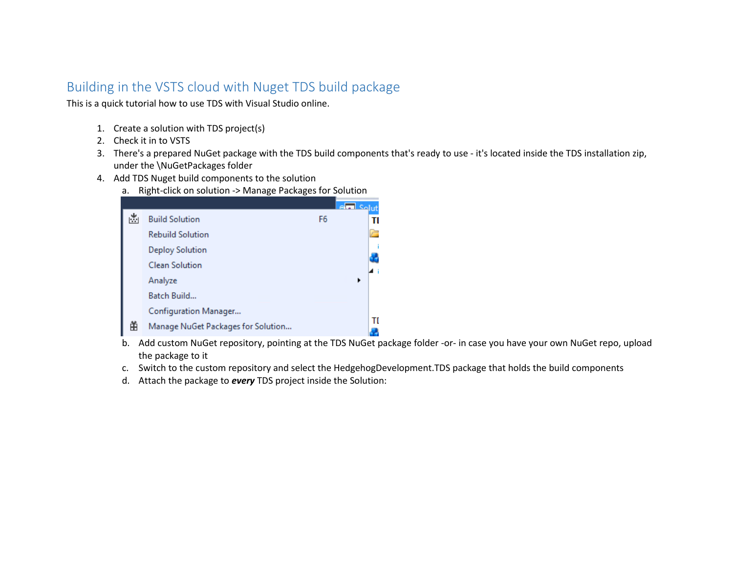## Building in the VSTS cloud with Nuget TDS build package

This is a quick tutorial how to use TDS with Visual Studio online.

- 1. Create a solution with TDS project(s)
- 2. Check it in to VSTS
- 3. There's a prepared NuGet package with the TDS build components that's ready to use it's located inside the TDS installation zip, under the \NuGetPackages folder
- 4. Add TDS Nuget build components to the solution
	- a. Right-click on solution -> Manage Packages for Solution

|   |                                    |                | <b>Ami</b> |
|---|------------------------------------|----------------|------------|
| M | <b>Build Solution</b>              | F <sub>6</sub> | т          |
|   | <b>Rebuild Solution</b>            |                |            |
|   | <b>Deploy Solution</b>             |                |            |
|   | <b>Clean Solution</b>              |                |            |
|   | Analyze                            |                |            |
|   | Batch Build                        |                |            |
|   | Configuration Manager              |                |            |
| 的 | Manage NuGet Packages for Solution |                | ΤI         |

- b. Add custom NuGet repository, pointing at the TDS NuGet package folder -or- in case you have your own NuGet repo, upload the package to it
- c. Switch to the custom repository and select the HedgehogDevelopment.TDS package that holds the build components
- d. Attach the package to *every* TDS project inside the Solution: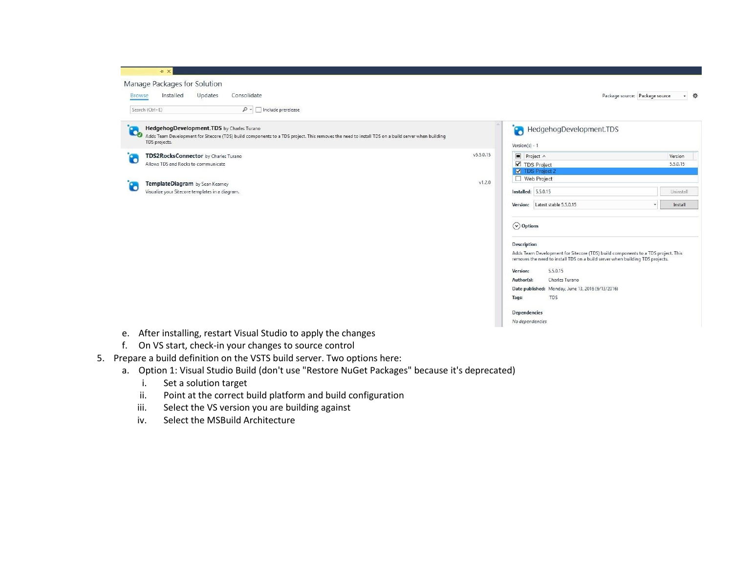| Manage Packages for Solution<br>Consolidate<br>Installed<br>Updates<br><b>Browse</b>                                                                                                                                        |           |                                                                                                                                                                                                                                                                                                                                                                                                   | Package source: Package source<br>- 章 |  |
|-----------------------------------------------------------------------------------------------------------------------------------------------------------------------------------------------------------------------------|-----------|---------------------------------------------------------------------------------------------------------------------------------------------------------------------------------------------------------------------------------------------------------------------------------------------------------------------------------------------------------------------------------------------------|---------------------------------------|--|
| Search (Ctrl+E)<br>$\mathcal{P}$ + $\Box$ Include prerelease                                                                                                                                                                |           |                                                                                                                                                                                                                                                                                                                                                                                                   |                                       |  |
| HedgehogDevelopment.TDS by Charles Turano<br><b>Co</b><br>Adds Team Development for Sitecore (TDS) build components to a TDS project. This removes the need to install TDS on a build server when building<br>TDS projects. |           | HedgehogDevelopment.TDS<br>G<br>$Version(s) - 1$                                                                                                                                                                                                                                                                                                                                                  |                                       |  |
| TDS2RocksConnector by Charles Turano<br>$\bullet$                                                                                                                                                                           | v5.5.0.15 | $\rule{0.15}{0.15mm}\nightharpoonup$ Project $\wedge$                                                                                                                                                                                                                                                                                                                                             | Version                               |  |
| Allows TDS and Rocks to communicate                                                                                                                                                                                         |           | ■ TDS Project<br><b>W</b> TDS Project 2                                                                                                                                                                                                                                                                                                                                                           | 5.5.0.15                              |  |
| v1.2.0<br>TemplateDiagram by Sean Kearney                                                                                                                                                                                   |           | □ Web Project                                                                                                                                                                                                                                                                                                                                                                                     |                                       |  |
| $\ddot{\bullet}$<br>Visualize your Sitecore templates in a diagram.                                                                                                                                                         |           | <b>Installed: 5.5.0.15</b>                                                                                                                                                                                                                                                                                                                                                                        | Uninstall                             |  |
|                                                                                                                                                                                                                             |           | Version: Latest stable 5.5.0.15                                                                                                                                                                                                                                                                                                                                                                   | Install                               |  |
|                                                                                                                                                                                                                             |           | $\left(\sqrt{2}\right)$ Options<br><b>Description</b><br>Adds Team Development for Sitecore (TDS) build components to a TDS project. This<br>removes the need to install TDS on a build server when building TDS projects.<br>5.5.0.15<br>Version:<br>Charles Turano<br>Author(s):<br>Date published: Monday, June 13, 2016 (6/13/2016)<br>TDS<br>Tags:<br><b>Dependencies</b><br>No dependencies |                                       |  |

- 
- f. On VS start, check-in your changes to source control
- 5. Prepare a build definition on the VSTS build server. Two options here:
	- a. Option 1: Visual Studio Build (don't use "Restore NuGet Packages" because it's deprecated)
		- i. Set a solution target
		- ii. Point at the correct build platform and build configuration
		- iii. Select the VS version you are building against
		- iv. Select the MSBuild Architecture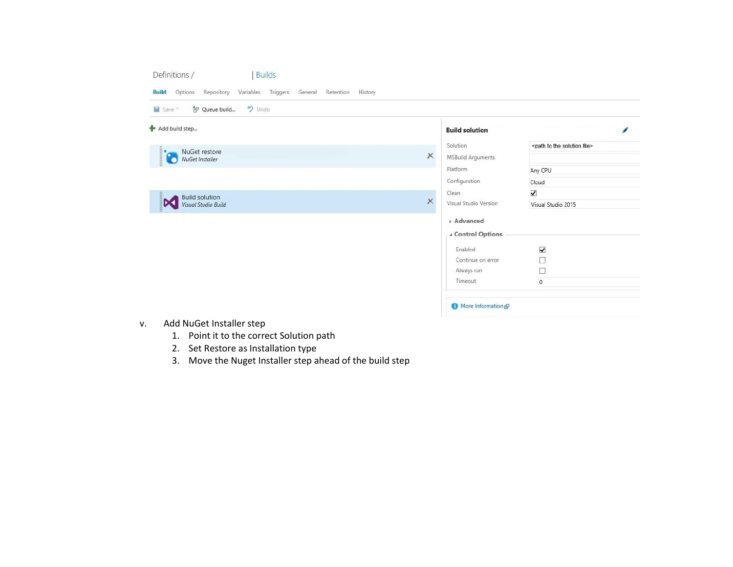| $9$ Undo<br>智 Queue build<br>$Save =$        |          |                          |                                                |
|----------------------------------------------|----------|--------------------------|------------------------------------------------|
| Add build step                               |          | <b>Build solution</b>    |                                                |
| NuGet restore                                |          | Solution                 | <path file="" solution="" the="" to=""></path> |
| ia<br>NuGet Installer                        | ×        | <b>MSBuild Arguments</b> |                                                |
|                                              |          | Platform                 | Any CPU                                        |
|                                              |          | Configuration            | Cloud                                          |
| <b>Build solution</b>                        |          | Clean                    | $\blacktriangledown$                           |
| $\mathbf{\mathsf{X}}$<br>Visual Studio Build | $\times$ | Visual Studio Version    | Visual Studio 2015                             |
|                                              |          | <b>Advanced</b>          |                                                |
|                                              |          | ∡ Control Options        |                                                |
|                                              |          | Enabled                  | $\blacktriangledown$                           |
|                                              |          | Continue on error        | П                                              |
|                                              |          | Always run               | □                                              |
|                                              |          | Timeout                  | $\mathfrak o$                                  |
|                                              |          |                          |                                                |
|                                              |          | More Information &       |                                                |

- v. Add NuGet Installer step
	- 1. Point it to the correct Solution path
	- 2. Set Restore as Installation type
	- 3. Move the Nuget Installer step ahead of the build step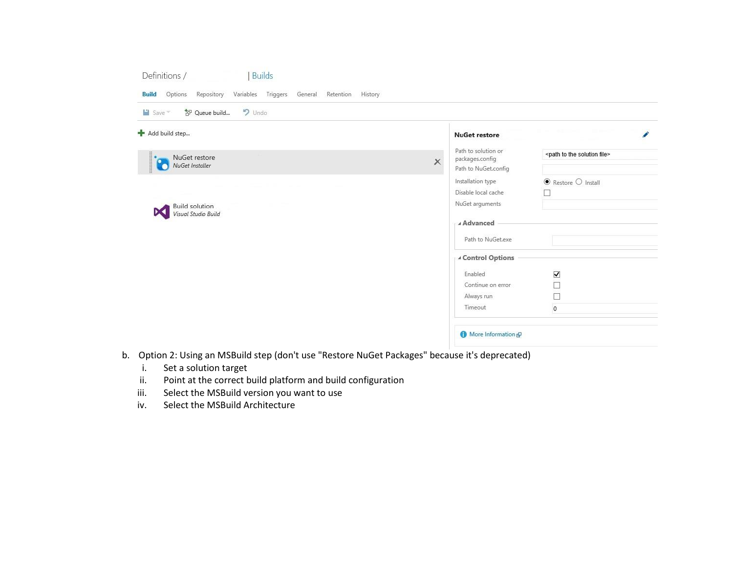## Definitions / Builds

| $9$ Undo<br>智 Queue build<br>$Save =$     |                                                                            |                                                |                                   |
|-------------------------------------------|----------------------------------------------------------------------------|------------------------------------------------|-----------------------------------|
| Add build step                            |                                                                            | <b>NuGet restore</b>                           |                                   |
| NuGet restore                             | Path to solution or<br>packages.config<br>$\times$<br>Path to NuGet.config | <path file="" solution="" the="" to=""></path> |                                   |
| $\mathbf{C}$<br>о<br>NuGet Installer<br>٠ |                                                                            |                                                |                                   |
|                                           |                                                                            | Installation type                              | $\bullet$ Restore $\circ$ Install |
|                                           |                                                                            | Disable local cache                            |                                   |
| <b>Build solution</b>                     | NuGet arguments<br>⊿ Advanced                                              |                                                |                                   |
| Visual Studio Build                       |                                                                            |                                                |                                   |
|                                           |                                                                            | Path to NuGet.exe                              |                                   |
|                                           |                                                                            | ▲ Control Options                              |                                   |
|                                           |                                                                            | Enabled                                        |                                   |
|                                           |                                                                            | Continue on error                              | $\frac{1}{2}$                     |
|                                           |                                                                            | Always run                                     | $\Box$                            |
|                                           |                                                                            | Timeout                                        | $\overline{0}$                    |
|                                           |                                                                            |                                                |                                   |
|                                           |                                                                            |                                                |                                   |

- b. Option 2: Using an MSBuild step (don't use "Restore NuGet Packages" because it's deprecated)
	- i. Set a solution target
	- ii. Point at the correct build platform and build configuration
	- iii. Select the MSBuild version you want to use
	- iv. Select the MSBuild Architecture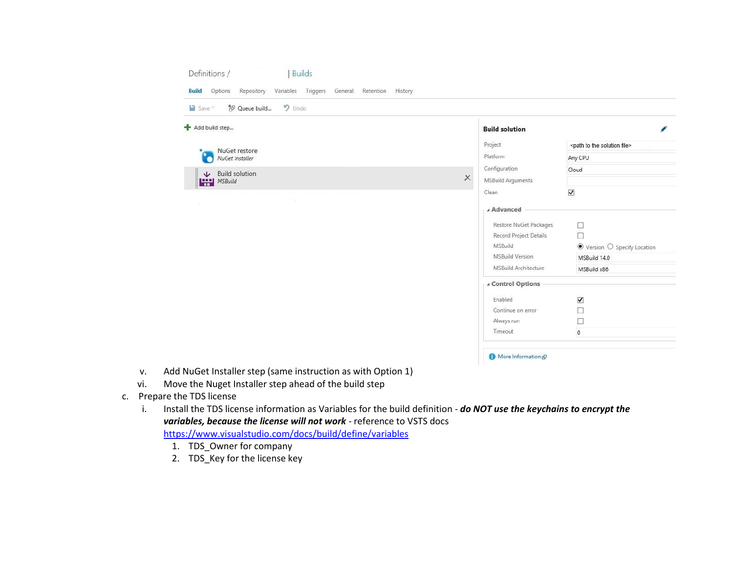| • Undo<br>$\blacksquare$ Save $\tau$<br>智 Queue build |  |                               |                                                |
|-------------------------------------------------------|--|-------------------------------|------------------------------------------------|
| Add build step                                        |  | <b>Build solution</b>         |                                                |
| NuGet restore                                         |  | Project                       | <path file="" solution="" the="" to=""></path> |
| NuGet Installer                                       |  | Platform                      | Any CPU                                        |
| <b>Build solution</b><br>$\ddot{\mathbf{v}}$          |  | Configuration                 | Cloud                                          |
| MSBuild                                               |  | ×<br><b>MSBuild Arguments</b> |                                                |
|                                                       |  | Clean                         | $\blacktriangledown$                           |
|                                                       |  | 4 Advanced                    |                                                |
|                                                       |  | Restore NuGet Packages        | $\Box$                                         |
|                                                       |  | Record Project Details        | D                                              |
|                                                       |  | MSBuild                       | $\bullet$ Version $\circ$ Specify Location     |
|                                                       |  | <b>MSBuild Version</b>        | MSBuild 14.0                                   |
|                                                       |  | <b>MSBuild Architecture</b>   | MSBuild x86                                    |
|                                                       |  | ∡ Control Options             |                                                |
|                                                       |  | Enabled                       | $\blacktriangledown$                           |
|                                                       |  | Continue on error             | $\Box$                                         |
|                                                       |  | Always run                    | $\Box$                                         |
|                                                       |  | Timeout                       | $\circ$                                        |

- v. Add NuGet Installer step (same instruction as with Option 1)
- vi. Move the Nuget Installer step ahead of the build step
- c. Prepare the TDS license
	- i. Install the TDS license information as Variables for the build definition *do NOT use the keychains to encrypt the*  variables, because the license will not work - reference to VSTS docs

<https://www.visualstudio.com/docs/build/define/variables>

- 1. TDS\_Owner for company
- 2. TDS\_Key for the license key